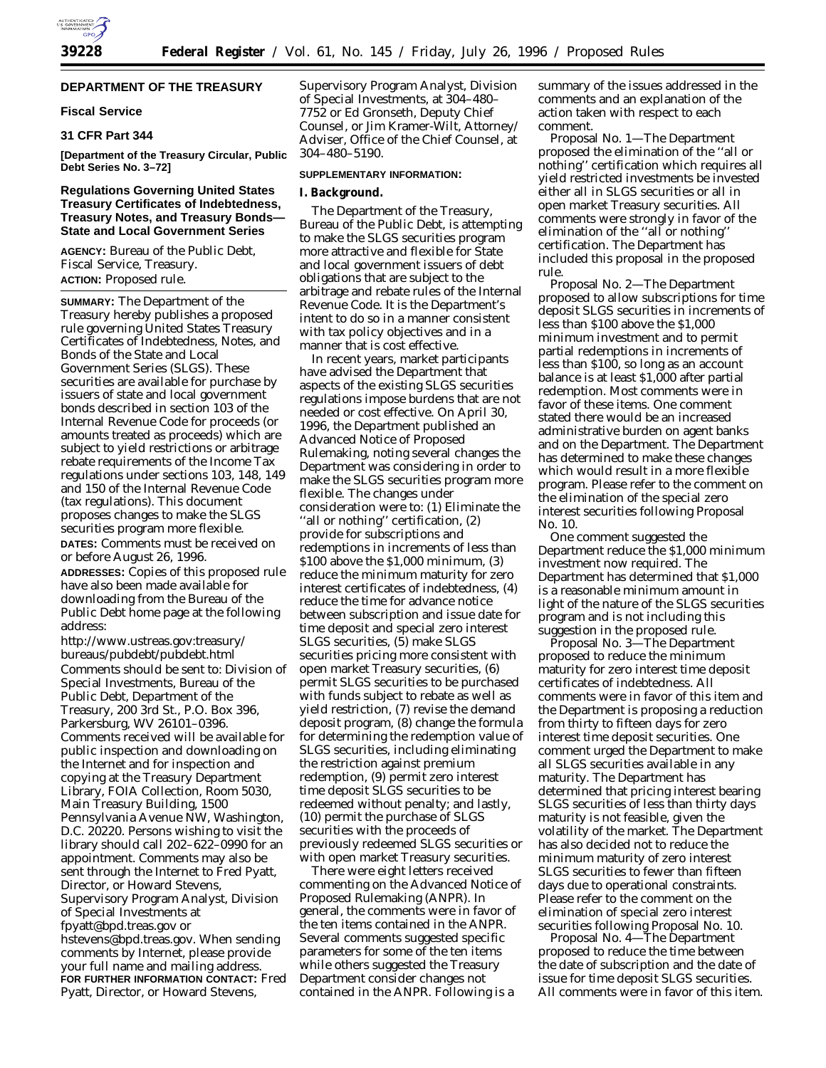# **DEPARTMENT OF THE TREASURY**

### **Fiscal Service**

# **31 CFR Part 344**

**[Department of the Treasury Circular, Public Debt Series No. 3–72]**

### **Regulations Governing United States Treasury Certificates of Indebtedness, Treasury Notes, and Treasury Bonds— State and Local Government Series**

**AGENCY:** Bureau of the Public Debt, Fiscal Service, Treasury. **ACTION:** Proposed rule.

**SUMMARY:** The Department of the Treasury hereby publishes a proposed rule governing United States Treasury Certificates of Indebtedness, Notes, and Bonds of the State and Local Government Series (SLGS). These securities are available for purchase by issuers of state and local government bonds described in section 103 of the Internal Revenue Code for proceeds (or amounts treated as proceeds) which are subject to yield restrictions or arbitrage rebate requirements of the Income Tax regulations under sections 103, 148, 149 and 150 of the Internal Revenue Code (tax regulations). This document proposes changes to make the SLGS securities program more flexible.

**DATES:** Comments must be received on or before August 26, 1996.

**ADDRESSES:** Copies of this proposed rule have also been made available for downloading from the Bureau of the Public Debt home page at the following address:

http://www.ustreas.gov:treasury/ bureaus/pubdebt/pubdebt.html Comments should be sent to: Division of Special Investments, Bureau of the Public Debt, Department of the Treasury, 200 3rd St., P.O. Box 396, Parkersburg, WV 26101–0396. Comments received will be available for public inspection and downloading on the Internet and for inspection and copying at the Treasury Department Library, FOIA Collection, Room 5030, Main Treasury Building, 1500 Pennsylvania Avenue NW, Washington, D.C. 20220. Persons wishing to visit the library should call 202–622–0990 for an appointment. Comments may also be sent through the Internet to Fred Pyatt, Director, or Howard Stevens, Supervisory Program Analyst, Division of Special Investments at fpyatt@bpd.treas.gov or hstevens@bpd.treas.gov. When sending comments by Internet, please provide your full name and mailing address. **FOR FURTHER INFORMATION CONTACT:** Fred Pyatt, Director, or Howard Stevens,

Supervisory Program Analyst, Division of Special Investments, at 304–480– 7752 or Ed Gronseth, Deputy Chief Counsel, or Jim Kramer-Wilt, Attorney/ Adviser, Office of the Chief Counsel, at 304–480–5190.

### **SUPPLEMENTARY INFORMATION:**

#### **I. Background.**

The Department of the Treasury, Bureau of the Public Debt, is attempting to make the SLGS securities program more attractive and flexible for State and local government issuers of debt obligations that are subject to the arbitrage and rebate rules of the Internal Revenue Code. It is the Department's intent to do so in a manner consistent with tax policy objectives and in a manner that is cost effective.

In recent years, market participants have advised the Department that aspects of the existing SLGS securities regulations impose burdens that are not needed or cost effective. On April 30, 1996, the Department published an Advanced Notice of Proposed Rulemaking, noting several changes the Department was considering in order to make the SLGS securities program more flexible. The changes under consideration were to: (1) Eliminate the ''all or nothing'' certification, (2) provide for subscriptions and redemptions in increments of less than \$100 above the \$1,000 minimum, (3) reduce the minimum maturity for zero interest certificates of indebtedness, (4) reduce the time for advance notice between subscription and issue date for time deposit and special zero interest SLGS securities, (5) make SLGS securities pricing more consistent with open market Treasury securities, (6) permit SLGS securities to be purchased with funds subject to rebate as well as yield restriction, (7) revise the demand deposit program, (8) change the formula for determining the redemption value of SLGS securities, including eliminating the restriction against premium redemption, (9) permit zero interest time deposit SLGS securities to be redeemed without penalty; and lastly, (10) permit the purchase of SLGS securities with the proceeds of previously redeemed SLGS securities or with open market Treasury securities.

There were eight letters received commenting on the Advanced Notice of Proposed Rulemaking (ANPR). In general, the comments were in favor of the ten items contained in the ANPR. Several comments suggested specific parameters for some of the ten items while others suggested the Treasury Department consider changes not contained in the ANPR. Following is a

summary of the issues addressed in the comments and an explanation of the action taken with respect to each comment.

Proposal No. 1—The Department proposed the elimination of the ''all or nothing'' certification which requires all yield restricted investments be invested either all in SLGS securities or all in open market Treasury securities. All comments were strongly in favor of the elimination of the ''all or nothing'' certification. The Department has included this proposal in the proposed rule.

Proposal No. 2—The Department proposed to allow subscriptions for time deposit SLGS securities in increments of less than \$100 above the \$1,000 minimum investment and to permit partial redemptions in increments of less than \$100, so long as an account balance is at least \$1,000 after partial redemption. Most comments were in favor of these items. One comment stated there would be an increased administrative burden on agent banks and on the Department. The Department has determined to make these changes which would result in a more flexible program. Please refer to the comment on the elimination of the special zero interest securities following Proposal No. 10.

One comment suggested the Department reduce the \$1,000 minimum investment now required. The Department has determined that \$1,000 is a reasonable minimum amount in light of the nature of the SLGS securities program and is not including this suggestion in the proposed rule.

Proposal No. 3—The Department proposed to reduce the minimum maturity for zero interest time deposit certificates of indebtedness. All comments were in favor of this item and the Department is proposing a reduction from thirty to fifteen days for zero interest time deposit securities. One comment urged the Department to make all SLGS securities available in any maturity. The Department has determined that pricing interest bearing SLGS securities of less than thirty days maturity is not feasible, given the volatility of the market. The Department has also decided not to reduce the minimum maturity of zero interest SLGS securities to fewer than fifteen days due to operational constraints. Please refer to the comment on the elimination of special zero interest securities following Proposal No. 10.

Proposal No. 4—The Department proposed to reduce the time between the date of subscription and the date of issue for time deposit SLGS securities. All comments were in favor of this item.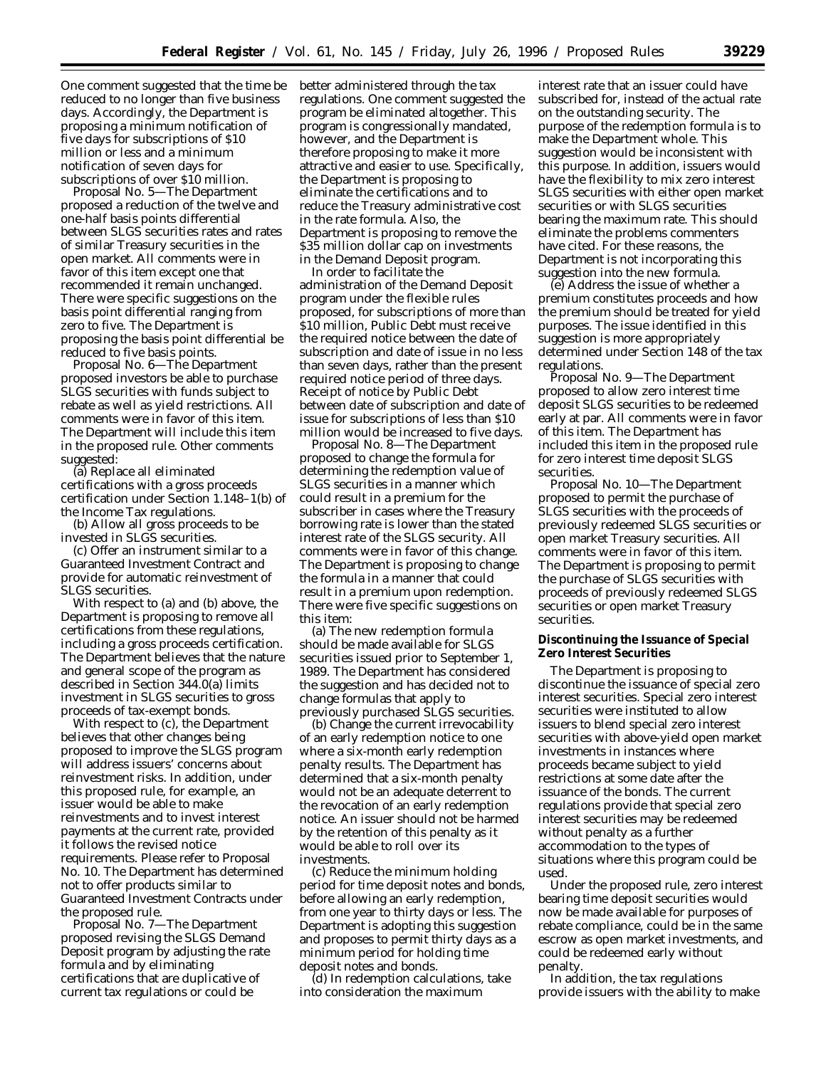One comment suggested that the time be reduced to no longer than five business days. Accordingly, the Department is proposing a minimum notification of five days for subscriptions of \$10 million or less and a minimum notification of seven days for subscriptions of over \$10 million.

Proposal No. 5—The Department proposed a reduction of the twelve and one-half basis points differential between SLGS securities rates and rates of similar Treasury securities in the open market. All comments were in favor of this item except one that recommended it remain unchanged. There were specific suggestions on the basis point differential ranging from zero to five. The Department is proposing the basis point differential be reduced to five basis points.

Proposal No. 6—The Department proposed investors be able to purchase SLGS securities with funds subject to rebate as well as yield restrictions. All comments were in favor of this item. The Department will include this item in the proposed rule. Other comments suggested:

(a) Replace all eliminated certifications with a gross proceeds certification under Section 1.148–1(b) of the Income Tax regulations.

(b) Allow all gross proceeds to be invested in SLGS securities.

(c) Offer an instrument similar to a Guaranteed Investment Contract and provide for automatic reinvestment of SLGS securities.

With respect to (a) and (b) above, the Department is proposing to remove all certifications from these regulations, including a gross proceeds certification. The Department believes that the nature and general scope of the program as described in Section 344.0(a) limits investment in SLGS securities to gross proceeds of tax-exempt bonds.

With respect to (c), the Department believes that other changes being proposed to improve the SLGS program will address issuers' concerns about reinvestment risks. In addition, under this proposed rule, for example, an issuer would be able to make reinvestments and to invest interest payments at the current rate, provided it follows the revised notice requirements. Please refer to Proposal No. 10. The Department has determined not to offer products similar to Guaranteed Investment Contracts under the proposed rule.

Proposal No. 7—The Department proposed revising the SLGS Demand Deposit program by adjusting the rate formula and by eliminating certifications that are duplicative of current tax regulations or could be

better administered through the tax regulations. One comment suggested the program be eliminated altogether. This program is congressionally mandated, however, and the Department is therefore proposing to make it more attractive and easier to use. Specifically, the Department is proposing to eliminate the certifications and to reduce the Treasury administrative cost in the rate formula. Also, the Department is proposing to remove the \$35 million dollar cap on investments in the Demand Deposit program.

In order to facilitate the administration of the Demand Deposit program under the flexible rules proposed, for subscriptions of more than \$10 million, Public Debt must receive the required notice between the date of subscription and date of issue in no less than seven days, rather than the present required notice period of three days. Receipt of notice by Public Debt between date of subscription and date of issue for subscriptions of less than \$10 million would be increased to five days.

Proposal No. 8—The Department proposed to change the formula for determining the redemption value of SLGS securities in a manner which could result in a premium for the subscriber in cases where the Treasury borrowing rate is lower than the stated interest rate of the SLGS security. All comments were in favor of this change. The Department is proposing to change the formula in a manner that could result in a premium upon redemption. There were five specific suggestions on this item:

(a) The new redemption formula should be made available for SLGS securities issued prior to September 1, 1989. The Department has considered the suggestion and has decided not to change formulas that apply to previously purchased SLGS securities.

(b) Change the current irrevocability of an early redemption notice to one where a six-month early redemption penalty results. The Department has determined that a six-month penalty would not be an adequate deterrent to the revocation of an early redemption notice. An issuer should not be harmed by the retention of this penalty as it would be able to roll over its investments.

(c) Reduce the minimum holding period for time deposit notes and bonds, before allowing an early redemption, from one year to thirty days or less. The Department is adopting this suggestion and proposes to permit thirty days as a minimum period for holding time deposit notes and bonds.

(d) In redemption calculations, take into consideration the maximum

interest rate that an issuer could have subscribed for, instead of the actual rate on the outstanding security. The purpose of the redemption formula is to make the Department whole. This suggestion would be inconsistent with this purpose. In addition, issuers would have the flexibility to mix zero interest SLGS securities with either open market securities or with SLGS securities bearing the maximum rate. This should eliminate the problems commenters have cited. For these reasons, the Department is not incorporating this suggestion into the new formula.

(e) Address the issue of whether a premium constitutes proceeds and how the premium should be treated for yield purposes. The issue identified in this suggestion is more appropriately determined under Section 148 of the tax regulations.

Proposal No. 9—The Department proposed to allow zero interest time deposit SLGS securities to be redeemed early at par. All comments were in favor of this item. The Department has included this item in the proposed rule for zero interest time deposit SLGS securities.

Proposal No. 10—The Department proposed to permit the purchase of SLGS securities with the proceeds of previously redeemed SLGS securities or open market Treasury securities. All comments were in favor of this item. The Department is proposing to permit the purchase of SLGS securities with proceeds of previously redeemed SLGS securities or open market Treasury securities.

**Discontinuing the Issuance of Special Zero Interest Securities**

The Department is proposing to discontinue the issuance of special zero interest securities. Special zero interest securities were instituted to allow issuers to blend special zero interest securities with above-yield open market investments in instances where proceeds became subject to yield restrictions at some date after the issuance of the bonds. The current regulations provide that special zero interest securities may be redeemed without penalty as a further accommodation to the types of situations where this program could be used.

Under the proposed rule, zero interest bearing time deposit securities would now be made available for purposes of rebate compliance, could be in the same escrow as open market investments, and could be redeemed early without penalty.

In addition, the tax regulations provide issuers with the ability to make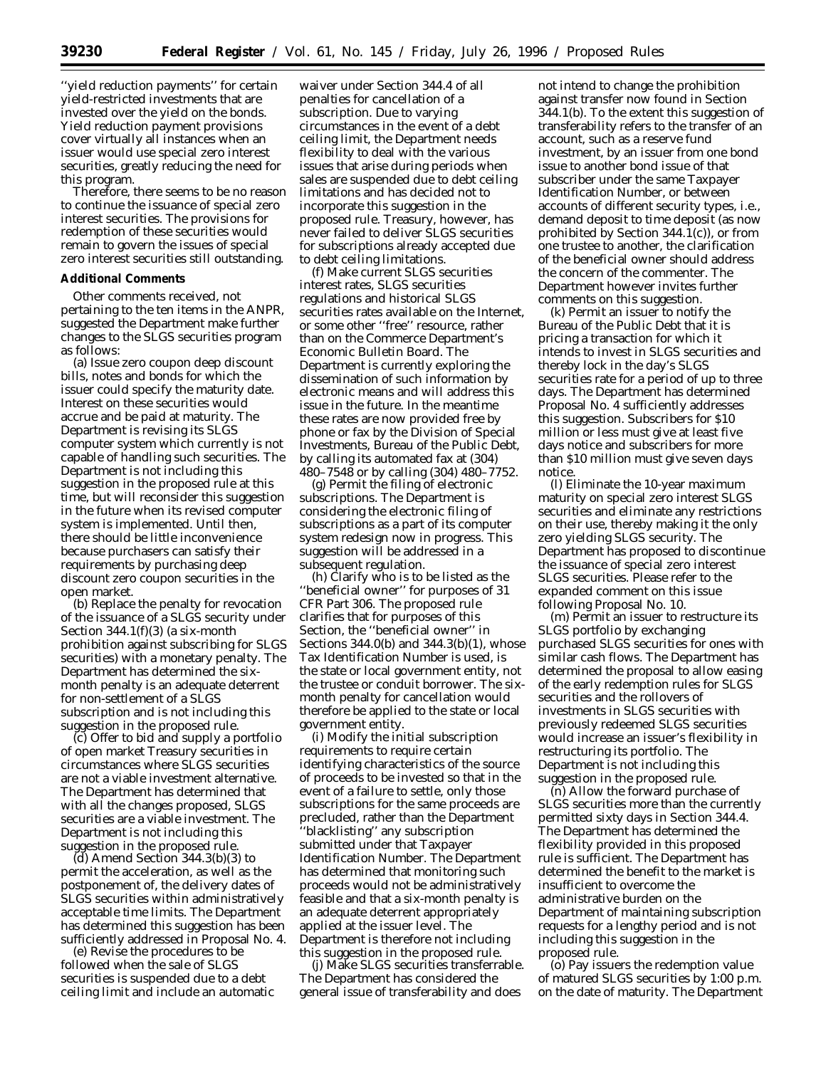''yield reduction payments'' for certain yield-restricted investments that are invested over the yield on the bonds. Yield reduction payment provisions cover virtually all instances when an issuer would use special zero interest securities, greatly reducing the need for this program.

Therefore, there seems to be no reason to continue the issuance of special zero interest securities. The provisions for redemption of these securities would remain to govern the issues of special zero interest securities still outstanding.

#### **Additional Comments**

Other comments received, not pertaining to the ten items in the ANPR, suggested the Department make further changes to the SLGS securities program as follows:

(a) Issue zero coupon deep discount bills, notes and bonds for which the issuer could specify the maturity date. Interest on these securities would accrue and be paid at maturity. The Department is revising its SLGS computer system which currently is not capable of handling such securities. The Department is not including this suggestion in the proposed rule at this time, but will reconsider this suggestion in the future when its revised computer system is implemented. Until then, there should be little inconvenience because purchasers can satisfy their requirements by purchasing deep discount zero coupon securities in the open market.

(b) Replace the penalty for revocation of the issuance of a SLGS security under Section 344.1(f)(3) (a six-month prohibition against subscribing for SLGS securities) with a monetary penalty. The Department has determined the sixmonth penalty is an adequate deterrent for non-settlement of a SLGS subscription and is not including this suggestion in the proposed rule.

(c) Offer to bid and supply a portfolio of open market Treasury securities in circumstances where SLGS securities are not a viable investment alternative. The Department has determined that with all the changes proposed, SLGS securities are a viable investment. The Department is not including this suggestion in the proposed rule.

(d) Amend Section 344.3(b)(3) to permit the acceleration, as well as the postponement of, the delivery dates of SLGS securities within administratively acceptable time limits. The Department has determined this suggestion has been sufficiently addressed in Proposal No. 4.

(e) Revise the procedures to be followed when the sale of SLGS securities is suspended due to a debt ceiling limit and include an automatic waiver under Section 344.4 of all penalties for cancellation of a subscription. Due to varying circumstances in the event of a debt ceiling limit, the Department needs flexibility to deal with the various issues that arise during periods when sales are suspended due to debt ceiling limitations and has decided not to incorporate this suggestion in the proposed rule. Treasury, however, has never failed to deliver SLGS securities for subscriptions already accepted due to debt ceiling limitations.

(f) Make current SLGS securities interest rates, SLGS securities regulations and historical SLGS securities rates available on the Internet, or some other ''free'' resource, rather than on the Commerce Department's Economic Bulletin Board. The Department is currently exploring the dissemination of such information by electronic means and will address this issue in the future. In the meantime these rates are now provided free by phone or fax by the Division of Special Investments, Bureau of the Public Debt, by calling its automated fax at (304) 480–7548 or by calling (304) 480–7752.

(g) Permit the filing of electronic subscriptions. The Department is considering the electronic filing of subscriptions as a part of its computer system redesign now in progress. This suggestion will be addressed in a subsequent regulation.

(h) Clarify who is to be listed as the ''beneficial owner'' for purposes of 31 CFR Part 306. The proposed rule clarifies that for purposes of this Section, the ''beneficial owner'' in Sections 344.0(b) and 344.3(b)(1), whose Tax Identification Number is used, is the state or local government entity, not the trustee or conduit borrower. The sixmonth penalty for cancellation would therefore be applied to the state or local government entity.

(i) Modify the initial subscription requirements to require certain identifying characteristics of the source of proceeds to be invested so that in the event of a failure to settle, only those subscriptions for the same proceeds are precluded, rather than the Department ''blacklisting'' any subscription submitted under that Taxpayer Identification Number. The Department has determined that monitoring such proceeds would not be administratively feasible and that a six-month penalty is an adequate deterrent appropriately applied at the issuer level. The Department is therefore not including this suggestion in the proposed rule.

(j) Make SLGS securities transferrable. The Department has considered the general issue of transferability and does

not intend to change the prohibition against transfer now found in Section 344.1(b). To the extent this suggestion of transferability refers to the transfer of an account, such as a reserve fund investment, by an issuer from one bond issue to another bond issue of that subscriber under the same Taxpayer Identification Number, or between accounts of different security types, i.e., demand deposit to time deposit (as now prohibited by Section 344.1(c)), or from one trustee to another, the clarification of the beneficial owner should address the concern of the commenter. The Department however invites further comments on this suggestion.

(k) Permit an issuer to notify the Bureau of the Public Debt that it is pricing a transaction for which it intends to invest in SLGS securities and thereby lock in the day's SLGS securities rate for a period of up to three days. The Department has determined Proposal No. 4 sufficiently addresses this suggestion. Subscribers for \$10 million or less must give at least five days notice and subscribers for more than \$10 million must give seven days notice.

(l) Eliminate the 10-year maximum maturity on special zero interest SLGS securities and eliminate any restrictions on their use, thereby making it the only zero yielding SLGS security. The Department has proposed to discontinue the issuance of special zero interest SLGS securities. Please refer to the expanded comment on this issue following Proposal No. 10.

(m) Permit an issuer to restructure its SLGS portfolio by exchanging purchased SLGS securities for ones with similar cash flows. The Department has determined the proposal to allow easing of the early redemption rules for SLGS securities and the rollovers of investments in SLGS securities with previously redeemed SLGS securities would increase an issuer's flexibility in restructuring its portfolio. The Department is not including this suggestion in the proposed rule.

(n) Allow the forward purchase of SLGS securities more than the currently permitted sixty days in Section 344.4. The Department has determined the flexibility provided in this proposed rule is sufficient. The Department has determined the benefit to the market is insufficient to overcome the administrative burden on the Department of maintaining subscription requests for a lengthy period and is not including this suggestion in the proposed rule.

(o) Pay issuers the redemption value of matured SLGS securities by 1:00 p.m. on the date of maturity. The Department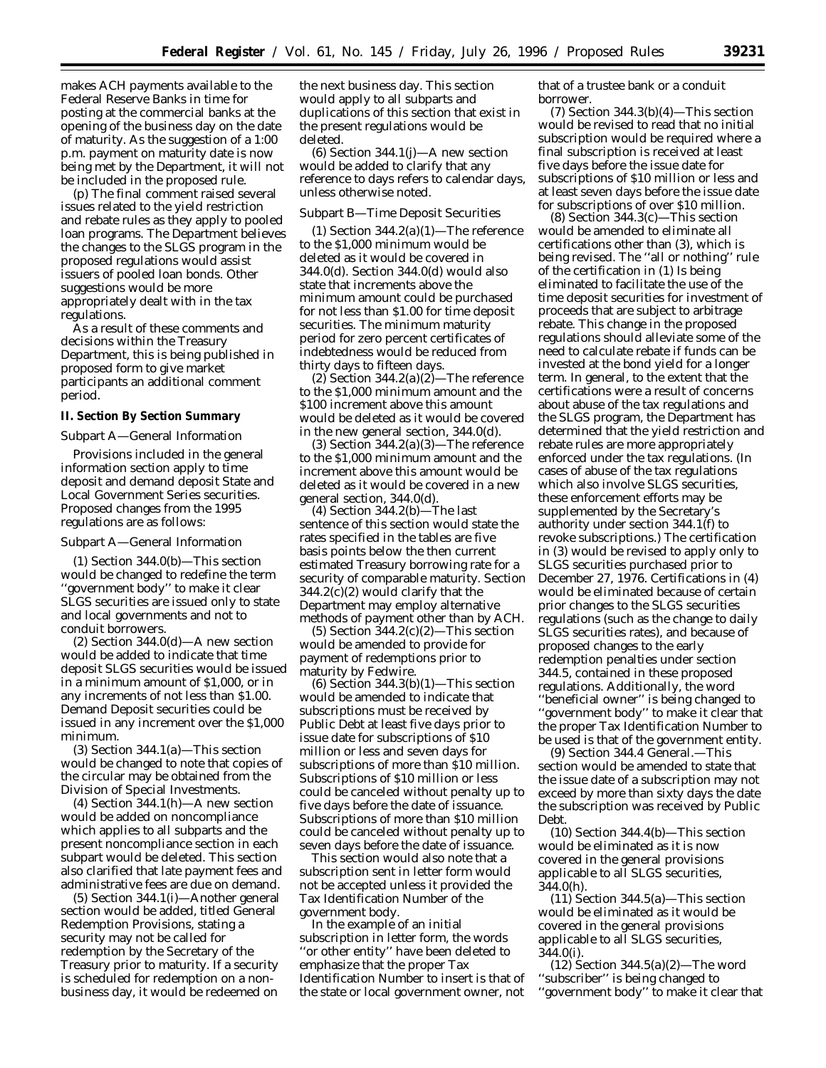makes ACH payments available to the Federal Reserve Banks in time for posting at the commercial banks at the opening of the business day on the date of maturity. As the suggestion of a 1:00 p.m. payment on maturity date is now being met by the Department, it will not be included in the proposed rule.

(p) The final comment raised several issues related to the yield restriction and rebate rules as they apply to pooled loan programs. The Department believes the changes to the SLGS program in the proposed regulations would assist issuers of pooled loan bonds. Other suggestions would be more appropriately dealt with in the tax regulations.

As a result of these comments and decisions within the Treasury Department, this is being published in proposed form to give market participants an additional comment period.

### **II. Section By Section Summary**

#### Subpart A—General Information

Provisions included in the general information section apply to time deposit and demand deposit State and Local Government Series securities. Proposed changes from the 1995 regulations are as follows:

#### Subpart A—General Information

*(1) Section 344.0(b)*—This section would be changed to redefine the term 'government body" to make it clear SLGS securities are issued only to state and local governments and not to conduit borrowers.

*(2) Section 344.0(d)*—A new section would be added to indicate that time deposit SLGS securities would be issued in a minimum amount of \$1,000, or in any increments of not less than \$1.00. Demand Deposit securities could be issued in any increment over the \$1,000 minimum.

*(3) Section 344.1(a)*—This section would be changed to note that copies of the circular may be obtained from the Division of Special Investments.

*(4) Section 344.1(h)*—A new section would be added on noncompliance which applies to all subparts and the present noncompliance section in each subpart would be deleted. This section also clarified that late payment fees and administrative fees are due on demand.

*(5) Section 344.1(i)*—Another general section would be added, titled General Redemption Provisions, stating a security may not be called for redemption by the Secretary of the Treasury prior to maturity. If a security is scheduled for redemption on a nonbusiness day, it would be redeemed on

the next business day. This section would apply to all subparts and duplications of this section that exist in the present regulations would be deleted.

*(6) Section 344.1(j)*—A new section would be added to clarify that any reference to days refers to calendar days, unless otherwise noted.

### Subpart B—Time Deposit Securities

*(1) Section 344.2(a)(1)*—The reference to the \$1,000 minimum would be deleted as it would be covered in 344.0(d). Section 344.0(d) would also state that increments above the minimum amount could be purchased for not less than \$1.00 for time deposit securities. The minimum maturity period for zero percent certificates of indebtedness would be reduced from thirty days to fifteen days.

*(2) Section 344.2(a)(2)*—The reference to the \$1,000 minimum amount and the \$100 increment above this amount would be deleted as it would be covered in the new general section, 344.0(d).

*(3) Section 344.2(a)(3)*—The reference to the \$1,000 minimum amount and the increment above this amount would be deleted as it would be covered in a new general section, 344.0(d).

*(4) Section 344.2(b)*—The last sentence of this section would state the rates specified in the tables are five basis points below the then current estimated Treasury borrowing rate for a security of comparable maturity. Section 344.2(c)(2) would clarify that the Department may employ alternative methods of payment other than by ACH.

*(5) Section 344.2(c)(2)*—This section would be amended to provide for payment of redemptions prior to maturity by Fedwire.

*(6) Section 344.3(b)(1)*—This section would be amended to indicate that subscriptions must be received by Public Debt at least five days prior to issue date for subscriptions of \$10 million or less and seven days for subscriptions of more than \$10 million. Subscriptions of \$10 million or less could be canceled without penalty up to five days before the date of issuance. Subscriptions of more than \$10 million could be canceled without penalty up to seven days before the date of issuance.

This section would also note that a subscription sent in letter form would not be accepted unless it provided the Tax Identification Number of the government body.

In the example of an initial subscription in letter form, the words ''or other entity'' have been deleted to emphasize that the proper Tax Identification Number to insert is that of the state or local government owner, not

that of a trustee bank or a conduit borrower.

*(7) Section 344.3(b)(4)*—This section would be revised to read that no initial subscription would be required where a final subscription is received at least five days before the issue date for subscriptions of \$10 million or less and at least seven days before the issue date for subscriptions of over \$10 million.

*(8) Section 344.3(c)*—This section would be amended to eliminate all certifications other than (3), which is being revised. The ''all or nothing'' rule of the certification in (1) Is being eliminated to facilitate the use of the time deposit securities for investment of proceeds that are subject to arbitrage rebate. This change in the proposed regulations should alleviate some of the need to calculate rebate if funds can be invested at the bond yield for a longer term. In general, to the extent that the certifications were a result of concerns about abuse of the tax regulations and the SLGS program, the Department has determined that the yield restriction and rebate rules are more appropriately enforced under the tax regulations. (In cases of abuse of the tax regulations which also involve SLGS securities, these enforcement efforts may be supplemented by the Secretary's authority under section 344.1(f) to revoke subscriptions.) The certification in (3) would be revised to apply only to SLGS securities purchased prior to December 27, 1976. Certifications in (4) would be eliminated because of certain prior changes to the SLGS securities regulations (such as the change to daily SLGS securities rates), and because of proposed changes to the early redemption penalties under section 344.5, contained in these proposed regulations. Additionally, the word ''beneficial owner'' is being changed to ''government body'' to make it clear that the proper Tax Identification Number to be used is that of the government entity.

*(9) Section 344.4 General.*—This section would be amended to state that the issue date of a subscription may not exceed by more than sixty days the date the subscription was received by Public Debt.

*(10) Section 344.4(b)*—This section would be eliminated as it is now covered in the general provisions applicable to all SLGS securities, 344.0(h).

*(11) Section 344.5(a)*—This section would be eliminated as it would be covered in the general provisions applicable to all SLGS securities, 344.0(i).

*(12) Section 344.5(a)(2)*—The word ''subscriber'' is being changed to ''government body'' to make it clear that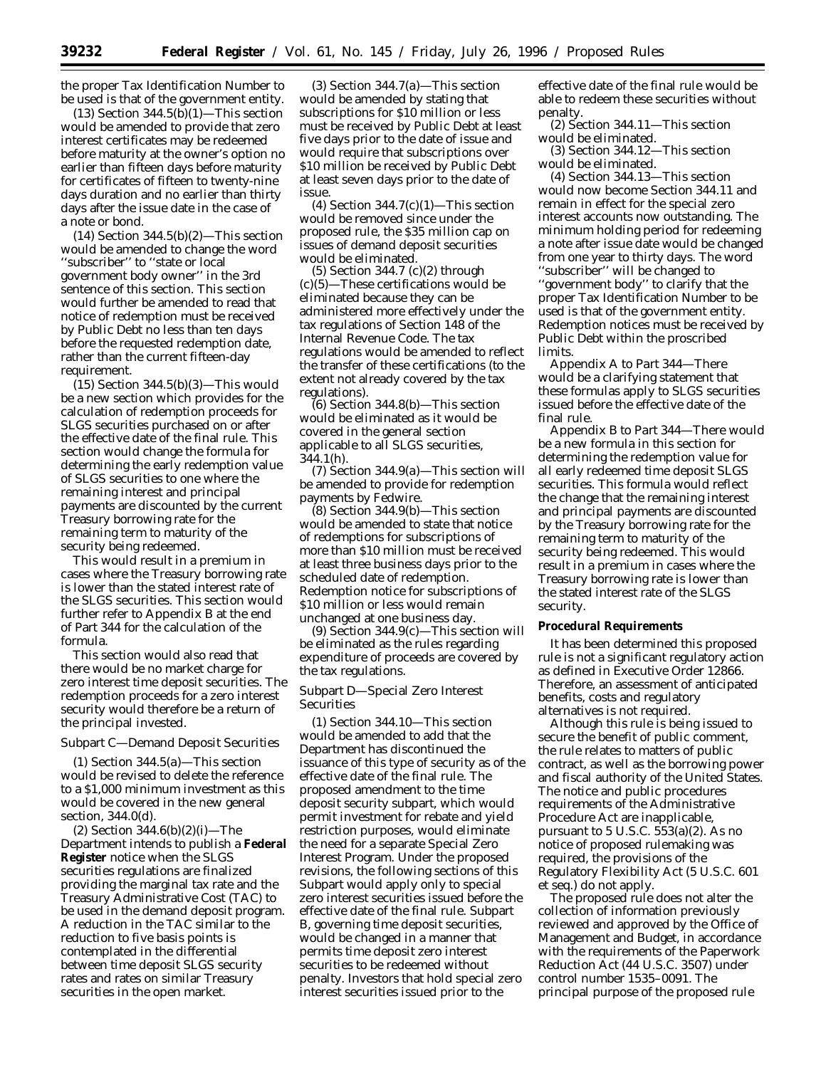the proper Tax Identification Number to be used is that of the government entity.

*(13) Section 344.5(b)(1)*—This section would be amended to provide that zero interest certificates may be redeemed before maturity at the owner's option no earlier than fifteen days before maturity for certificates of fifteen to twenty-nine days duration and no earlier than thirty days after the issue date in the case of a note or bond.

*(14) Section 344.5(b)(2)*—This section would be amended to change the word ''subscriber'' to ''state or local government body owner'' in the 3rd sentence of this section. This section would further be amended to read that notice of redemption must be received by Public Debt no less than ten days before the requested redemption date, rather than the current fifteen-day requirement.

*(15) Section 344.5(b)(3)*—This would be a new section which provides for the calculation of redemption proceeds for SLGS securities purchased on or after the effective date of the final rule. This section would change the formula for determining the early redemption value of SLGS securities to one where the remaining interest and principal payments are discounted by the current Treasury borrowing rate for the remaining term to maturity of the security being redeemed.

This would result in a premium in cases where the Treasury borrowing rate is lower than the stated interest rate of the SLGS securities. This section would further refer to Appendix B at the end of Part 344 for the calculation of the formula.

This section would also read that there would be no market charge for zero interest time deposit securities. The redemption proceeds for a zero interest security would therefore be a return of the principal invested.

Subpart C—Demand Deposit Securities

*(1) Section 344.5(a)*—This section would be revised to delete the reference to a \$1,000 minimum investment as this would be covered in the new general section, 344.0(d).

*(2) Section 344.6(b)(2)(i)*—The Department intends to publish a **Federal Register** notice when the SLGS securities regulations are finalized providing the marginal tax rate and the Treasury Administrative Cost (TAC) to be used in the demand deposit program. A reduction in the TAC similar to the reduction to five basis points is contemplated in the differential between time deposit SLGS security rates and rates on similar Treasury securities in the open market.

*(3) Section 344.7(a)*—This section would be amended by stating that subscriptions for \$10 million or less must be received by Public Debt at least five days prior to the date of issue and would require that subscriptions over \$10 million be received by Public Debt at least seven days prior to the date of issue.

*(4) Section 344.7(c)(1)*—This section would be removed since under the proposed rule, the \$35 million cap on issues of demand deposit securities would be eliminated.

*(5) Section 344.7 (c)(2) through (c)(5)*—These certifications would be eliminated because they can be administered more effectively under the tax regulations of Section 148 of the Internal Revenue Code. The tax regulations would be amended to reflect the transfer of these certifications (to the extent not already covered by the tax regulations).

*(6) Section 344.8(b)*—This section would be eliminated as it would be covered in the general section applicable to all SLGS securities, 344.1(h).

*(7) Section 344.9(a)*—This section will be amended to provide for redemption payments by Fedwire.

*(8) Section 344.9(b)*—This section would be amended to state that notice of redemptions for subscriptions of more than \$10 million must be received at least three business days prior to the scheduled date of redemption. Redemption notice for subscriptions of \$10 million or less would remain unchanged at one business day.

*(9) Section 344.9(c)*—This section will be eliminated as the rules regarding expenditure of proceeds are covered by the tax regulations.

Subpart D—Special Zero Interest Securities

*(1) Section 344.10*—This section would be amended to add that the Department has discontinued the issuance of this type of security as of the effective date of the final rule. The proposed amendment to the time deposit security subpart, which would permit investment for rebate and yield restriction purposes, would eliminate the need for a separate Special Zero Interest Program. Under the proposed revisions, the following sections of this Subpart would apply only to special zero interest securities issued before the effective date of the final rule. Subpart B, governing time deposit securities, would be changed in a manner that permits time deposit zero interest securities to be redeemed without penalty. Investors that hold special zero interest securities issued prior to the

effective date of the final rule would be able to redeem these securities without penalty.

*(2) Section 344.11*—This section would be eliminated.

*(3) Section 344.12*—This section would be eliminated.

*(4) Section 344.13*—This section would now become Section 344.11 and remain in effect for the special zero interest accounts now outstanding. The minimum holding period for redeeming a note after issue date would be changed from one year to thirty days. The word ''subscriber'' will be changed to ''government body'' to clarify that the proper Tax Identification Number to be used is that of the government entity. Redemption notices must be received by Public Debt within the proscribed limits.

*Appendix A to Part 344*—There would be a clarifying statement that these formulas apply to SLGS securities issued before the effective date of the final rule.

*Appendix B to Part 344*—There would be a new formula in this section for determining the redemption value for all early redeemed time deposit SLGS securities. This formula would reflect the change that the remaining interest and principal payments are discounted by the Treasury borrowing rate for the remaining term to maturity of the security being redeemed. This would result in a premium in cases where the Treasury borrowing rate is lower than the stated interest rate of the SLGS security.

**Procedural Requirements**

It has been determined this proposed rule is not a significant regulatory action as defined in Executive Order 12866. Therefore, an assessment of anticipated benefits, costs and regulatory alternatives is not required.

Although this rule is being issued to secure the benefit of public comment, the rule relates to matters of public contract, as well as the borrowing power and fiscal authority of the United States. The notice and public procedures requirements of the Administrative Procedure Act are inapplicable, pursuant to 5 U.S.C. 553(a)(2). As no notice of proposed rulemaking was required, the provisions of the Regulatory Flexibility Act (5 U.S.C. 601 *et seq.*) do not apply.

The proposed rule does not alter the collection of information previously reviewed and approved by the Office of Management and Budget, in accordance with the requirements of the Paperwork Reduction Act (44 U.S.C. 3507) under control number 1535–0091. The principal purpose of the proposed rule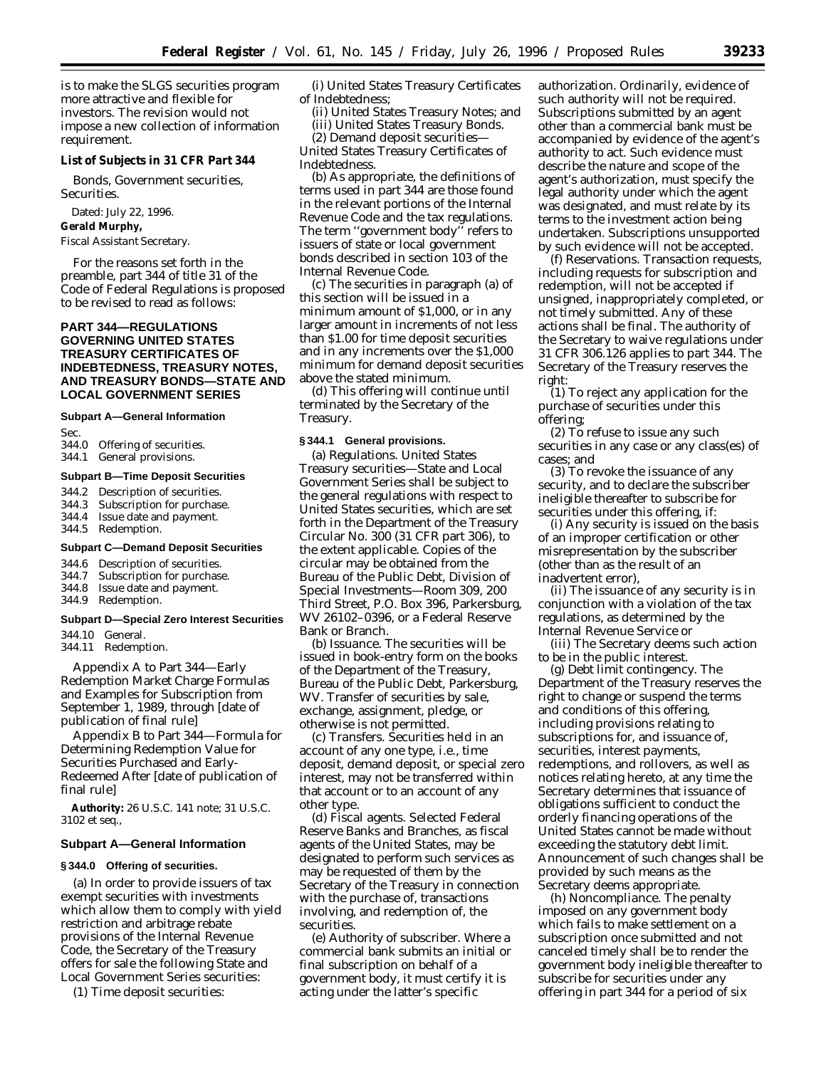is to make the SLGS securities program more attractive and flexible for investors. The revision would not impose a new collection of information requirement.

**List of Subjects in 31 CFR Part 344**

Bonds, Government securities, Securities.

Dated: July 22, 1996.

**Gerald Murphy,**

*Fiscal Assistant Secretary.*

For the reasons set forth in the preamble, part 344 of title 31 of the Code of Federal Regulations is proposed to be revised to read as follows:

# **PART 344—REGULATIONS GOVERNING UNITED STATES TREASURY CERTIFICATES OF INDEBTEDNESS, TREASURY NOTES, AND TREASURY BONDS—STATE AND LOCAL GOVERNMENT SERIES**

# **Subpart A—General Information**

Sec.

- 344.0 Offering of securities.
- 344.1 General provisions.

#### **Subpart B—Time Deposit Securities**

344.2 Description of securities.<br>344.3 Subscription for purchas

- Subscription for purchase.
- 344.4 Issue date and payment.
- 344.5 Redemption.

### **Subpart C—Demand Deposit Securities**

- 344.6 Description of securities.<br>344.7 Subscription for purchas
- 344.7 Subscription for purchase.<br>344.8 Issue date and payment.
- Issue date and payment.

# 344.9 Redemption.

# **Subpart D—Special Zero Interest Securities**

344.10 General.

344.11 Redemption.

Appendix A to Part 344—Early Redemption Market Charge Formulas and Examples for Subscription from September 1, 1989, through [date of publication of final rule]

Appendix B to Part 344—Formula for Determining Redemption Value for Securities Purchased and Early-Redeemed After [date of publication of final rule]

**Authority:** 26 U.S.C. 141 note; 31 U.S.C. 3102 *et seq.,*

# **Subpart A—General Information**

### **§ 344.0 Offering of securities.**

(a) In order to provide issuers of tax exempt securities with investments which allow them to comply with yield restriction and arbitrage rebate provisions of the Internal Revenue Code, the Secretary of the Treasury offers for sale the following State and Local Government Series securities:

(1) Time deposit securities:

(i) United States Treasury Certificates of Indebtedness;

- (ii) United States Treasury Notes; and (iii) United States Treasury Bonds.
- (2) Demand deposit securities—

United States Treasury Certificates of Indebtedness.

(b) As appropriate, the definitions of terms used in part 344 are those found in the relevant portions of the Internal Revenue Code and the tax regulations. The term ''government body'' refers to issuers of state or local government bonds described in section 103 of the Internal Revenue Code.

(c) The securities in paragraph (a) of this section will be issued in a minimum amount of \$1,000, or in any larger amount in increments of not less than \$1.00 for time deposit securities and in any increments over the \$1,000 minimum for demand deposit securities above the stated minimum.

(d) This offering will continue until terminated by the Secretary of the Treasury.

#### **§ 344.1 General provisions.**

(a) *Regulations.* United States Treasury securities—State and Local Government Series shall be subject to the general regulations with respect to United States securities, which are set forth in the Department of the Treasury Circular No. 300 (31 CFR part 306), to the extent applicable. Copies of the circular may be obtained from the Bureau of the Public Debt, Division of Special Investments—Room 309, 200 Third Street, P.O. Box 396, Parkersburg, WV 26102–0396, or a Federal Reserve Bank or Branch.

(b) *Issuance.* The securities will be issued in book-entry form on the books of the Department of the Treasury, Bureau of the Public Debt, Parkersburg, WV. Transfer of securities by sale, exchange, assignment, pledge, or otherwise is not permitted.

(c) *Transfers.* Securities held in an account of any one type, i.e., time deposit, demand deposit, or special zero interest, may not be transferred within that account or to an account of any other type.

(d) *Fiscal agents.* Selected Federal Reserve Banks and Branches, as fiscal agents of the United States, may be designated to perform such services as may be requested of them by the Secretary of the Treasury in connection with the purchase of, transactions involving, and redemption of, the securities.

(e) *Authority of subscriber.* Where a commercial bank submits an initial or final subscription on behalf of a government body, it must certify it is acting under the latter's specific

authorization. Ordinarily, evidence of such authority will not be required. Subscriptions submitted by an agent other than a commercial bank must be accompanied by evidence of the agent's authority to act. Such evidence must describe the nature and scope of the agent's authorization, must specify the legal authority under which the agent was designated, and must relate by its terms to the investment action being undertaken. Subscriptions unsupported by such evidence will not be accepted.

(f) *Reservations.* Transaction requests, including requests for subscription and redemption, will not be accepted if unsigned, inappropriately completed, or not timely submitted. Any of these actions shall be final. The authority of the Secretary to waive regulations under 31 CFR 306.126 applies to part 344. The Secretary of the Treasury reserves the right:

(1) To reject any application for the purchase of securities under this offering;

(2) To refuse to issue any such securities in any case or any class(es) of cases; and

(3) To revoke the issuance of any security, and to declare the subscriber ineligible thereafter to subscribe for securities under this offering, if:

(i) Any security is issued on the basis of an improper certification or other misrepresentation by the subscriber (other than as the result of an inadvertent error),

(ii) The issuance of any security is in conjunction with a violation of the tax regulations, as determined by the Internal Revenue Service or

(iii) The Secretary deems such action to be in the public interest.

(g) *Debt limit contingency.* The Department of the Treasury reserves the right to change or suspend the terms and conditions of this offering, including provisions relating to subscriptions for, and issuance of, securities, interest payments, redemptions, and rollovers, as well as notices relating hereto, at any time the Secretary determines that issuance of obligations sufficient to conduct the orderly financing operations of the United States cannot be made without exceeding the statutory debt limit. Announcement of such changes shall be provided by such means as the Secretary deems appropriate.

(h) *Noncompliance.* The penalty imposed on any government body which fails to make settlement on a subscription once submitted and not canceled timely shall be to render the government body ineligible thereafter to subscribe for securities under any offering in part 344 for a period of six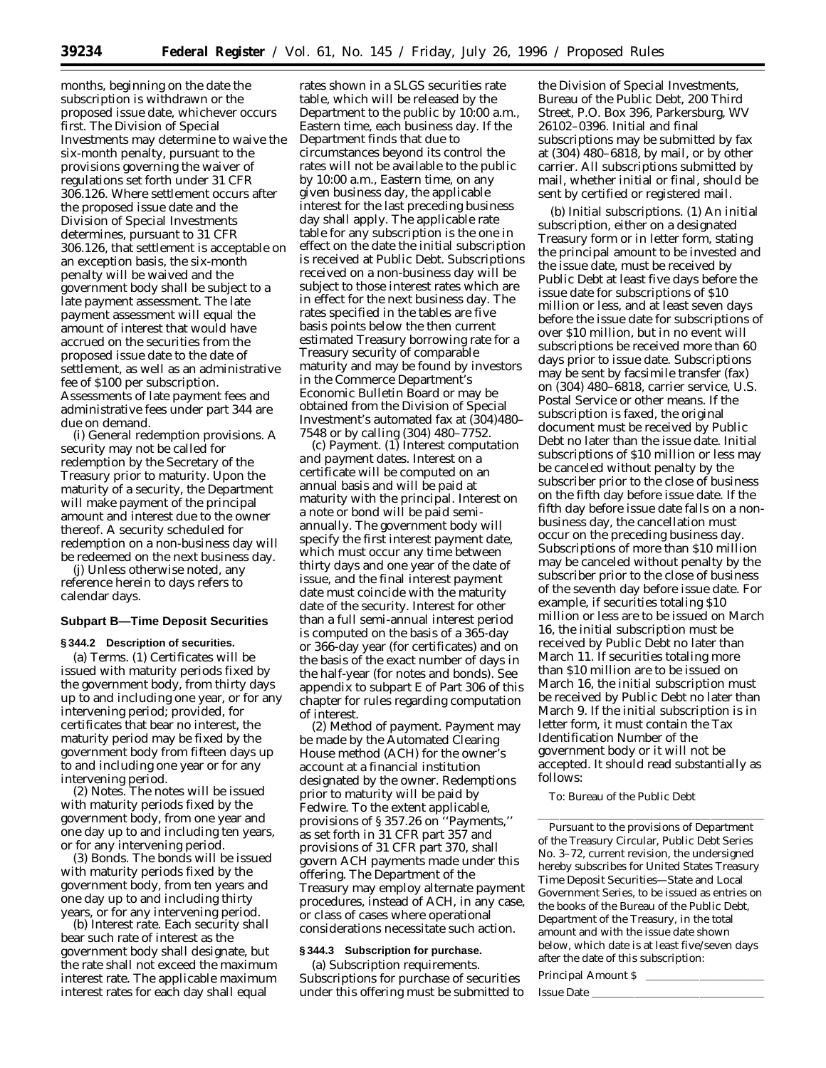months, beginning on the date the subscription is withdrawn or the proposed issue date, whichever occurs first. The Division of Special Investments may determine to waive the six-month penalty, pursuant to the provisions governing the waiver of regulations set forth under 31 CFR 306.126. Where settlement occurs after the proposed issue date and the Division of Special Investments determines, pursuant to 31 CFR 306.126, that settlement is acceptable on an exception basis, the six-month penalty will be waived and the government body shall be subject to a late payment assessment. The late payment assessment will equal the amount of interest that would have accrued on the securities from the proposed issue date to the date of settlement, as well as an administrative fee of \$100 per subscription. Assessments of late payment fees and administrative fees under part 344 are due on demand.

(i) *General redemption provisions.* A security may not be called for redemption by the Secretary of the Treasury prior to maturity. Upon the maturity of a security, the Department will make payment of the principal amount and interest due to the owner thereof. A security scheduled for redemption on a non-business day will be redeemed on the next business day.

(j) Unless otherwise noted, any reference herein to days refers to calendar days.

# **Subpart B—Time Deposit Securities**

**§ 344.2 Description of securities.**

(a) *Terms.* (1) Certificates will be issued with maturity periods fixed by the government body, from thirty days up to and including one year, or for any intervening period; provided, for certificates that bear no interest, the maturity period may be fixed by the government body from fifteen days up to and including one year or for any intervening period.

(2) *Notes.* The notes will be issued with maturity periods fixed by the government body, from one year and one day up to and including ten years, or for any intervening period.

(3) *Bonds.* The bonds will be issued with maturity periods fixed by the government body, from ten years and one day up to and including thirty years, or for any intervening period.

(b) *Interest rate.* Each security shall bear such rate of interest as the government body shall designate, but the rate shall not exceed the maximum interest rate. The applicable maximum interest rates for each day shall equal

rates shown in a SLGS securities rate table, which will be released by the Department to the public by 10:00 a.m., Eastern time, each business day. If the Department finds that due to circumstances beyond its control the rates will not be available to the public by 10:00 a.m., Eastern time, on any given business day, the applicable interest for the last preceding business day shall apply. The applicable rate table for any subscription is the one in effect on the date the initial subscription is received at Public Debt. Subscriptions received on a non-business day will be subject to those interest rates which are in effect for the next business day. The rates specified in the tables are five basis points below the then current estimated Treasury borrowing rate for a Treasury security of comparable maturity and may be found by investors in the Commerce Department's Economic Bulletin Board or may be obtained from the Division of Special Investment's automated fax at (304)480– 7548 or by calling (304) 480–7752.

(c) *Payment.* (1) *Interest computation and payment dates.* Interest on a certificate will be computed on an annual basis and will be paid at maturity with the principal. Interest on a note or bond will be paid semiannually. The government body will specify the first interest payment date, which must occur any time between thirty days and one year of the date of issue, and the final interest payment date must coincide with the maturity date of the security. Interest for other than a full semi-annual interest period is computed on the basis of a 365-day or 366-day year (for certificates) and on the basis of the exact number of days in the half-year (for notes and bonds). See appendix to subpart E of Part 306 of this chapter for rules regarding computation of interest.

(2) *Method of payment.* Payment may be made by the Automated Clearing House method (ACH) for the owner's account at a financial institution designated by the owner. Redemptions prior to maturity will be paid by Fedwire. To the extent applicable, provisions of § 357.26 on ''Payments,'' as set forth in 31 CFR part 357 and provisions of 31 CFR part 370, shall govern ACH payments made under this offering. The Department of the Treasury may employ alternate payment procedures, instead of ACH, in any case, or class of cases where operational considerations necessitate such action.

#### **§ 344.3 Subscription for purchase.**

(a) *Subscription requirements.* Subscriptions for purchase of securities under this offering must be submitted to

the Division of Special Investments, Bureau of the Public Debt, 200 Third Street, P.O. Box 396, Parkersburg, WV 26102–0396. Initial and final subscriptions may be submitted by fax at (304) 480–6818, by mail, or by other carrier. All subscriptions submitted by mail, whether initial or final, should be sent by certified or registered mail.

(b) *Initial subscriptions.* (1) An initial subscription, either on a designated Treasury form or in letter form, stating the principal amount to be invested and the issue date, must be received by Public Debt at least five days before the issue date for subscriptions of \$10 million or less, and at least seven days before the issue date for subscriptions of over \$10 million, but in no event will subscriptions be received more than 60 days prior to issue date. Subscriptions may be sent by facsimile transfer (fax) on (304) 480–6818, carrier service, U.S. Postal Service or other means. If the subscription is faxed, the original document must be received by Public Debt no later than the issue date. Initial subscriptions of \$10 million or less may be canceled without penalty by the subscriber prior to the close of business on the fifth day before issue date. If the fifth day before issue date falls on a nonbusiness day, the cancellation must occur on the preceding business day. Subscriptions of more than \$10 million may be canceled without penalty by the subscriber prior to the close of business of the seventh day before issue date. For example, if securities totaling \$10 million or less are to be issued on March 16, the initial subscription must be received by Public Debt no later than March 11. If securities totaling more than \$10 million are to be issued on March 16, the initial subscription must be received by Public Debt no later than March 9. If the initial subscription is in letter form, it must contain the Tax Identification Number of the government body or it will not be accepted. It should read substantially as follows:

To: Bureau of the Public Debt

Pursuant to the provisions of Department of the Treasury Circular, Public Debt Series No. 3–72, current revision, the undersigned hereby subscribes for United States Treasury Time Deposit Securities—State and Local Government Series, to be issued as entries on the books of the Bureau of the Public Debt, Department of the Treasury, in the total amount and with the issue date shown below, which date is at least five/seven days after the date of this subscription:

lllllllllllllllllllll

Principal Amount \$

Issue Date \_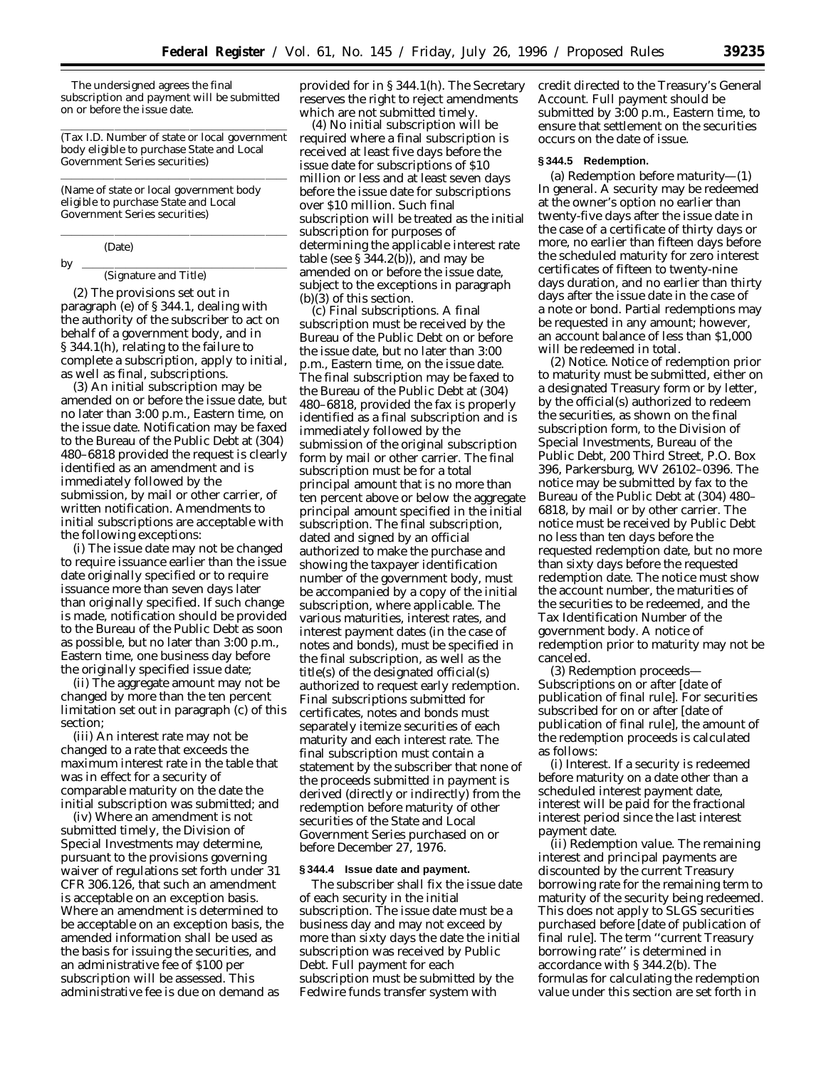The undersigned agrees the final subscription and payment will be submitted on or before the issue date.

<u>llilla solara solara solara solara solara solara solara sola</u> (Tax I.D. Number of state or local government body eligible to purchase State and Local Government Series securities) <u>llilla solara solara solara solara solara solara solara sola</u>

(Name of state or local government body eligible to purchase State and Local Government Series securities)

<u>llilla solara solara solara solara solara solara solara sola</u>

# (Date)

#### by lllllllllllllllllll (Signature and Title)

(2) The provisions set out in paragraph (e) of § 344.1, dealing with the authority of the subscriber to act on behalf of a government body, and in § 344.1(h), relating to the failure to complete a subscription, apply to initial, as well as final, subscriptions.

(3) An initial subscription may be amended on or before the issue date, but no later than 3:00 p.m., Eastern time, on the issue date. Notification may be faxed to the Bureau of the Public Debt at (304) 480–6818 provided the request is clearly identified as an amendment and is immediately followed by the submission, by mail or other carrier, of written notification. Amendments to initial subscriptions are acceptable with the following exceptions:

(i) The issue date may not be changed to require issuance earlier than the issue date originally specified or to require issuance more than seven days later than originally specified. If such change is made, notification should be provided to the Bureau of the Public Debt as soon as possible, but no later than 3:00 p.m., Eastern time, one business day before the originally specified issue date;

(ii) The aggregate amount may not be changed by more than the ten percent limitation set out in paragraph (c) of this section;

(iii) An interest rate may not be changed to a rate that exceeds the maximum interest rate in the table that was in effect for a security of comparable maturity on the date the initial subscription was submitted; and

(iv) Where an amendment is not submitted timely, the Division of Special Investments may determine, pursuant to the provisions governing waiver of regulations set forth under 31 CFR 306.126, that such an amendment is acceptable on an exception basis. Where an amendment is determined to be acceptable on an exception basis, the amended information shall be used as the basis for issuing the securities, and an administrative fee of \$100 per subscription will be assessed. This administrative fee is due on demand as

provided for in § 344.1(h). The Secretary reserves the right to reject amendments which are not submitted timely.

(4) No initial subscription will be required where a final subscription is received at least five days before the issue date for subscriptions of \$10 million or less and at least seven days before the issue date for subscriptions over \$10 million. Such final subscription will be treated as the initial subscription for purposes of determining the applicable interest rate table (see  $\S 344.2(b)$ ), and may be amended on or before the issue date, subject to the exceptions in paragraph (b)(3) of this section.

(c) *Final subscriptions.* A final subscription must be received by the Bureau of the Public Debt on or before the issue date, but no later than 3:00 p.m., Eastern time, on the issue date. The final subscription may be faxed to the Bureau of the Public Debt at (304) 480–6818, provided the fax is properly identified as a final subscription and is immediately followed by the submission of the original subscription form by mail or other carrier. The final subscription must be for a total principal amount that is no more than ten percent above or below the aggregate principal amount specified in the initial subscription. The final subscription, dated and signed by an official authorized to make the purchase and showing the taxpayer identification number of the government body, must be accompanied by a copy of the initial subscription, where applicable. The various maturities, interest rates, and interest payment dates (in the case of notes and bonds), must be specified in the final subscription, as well as the title(s) of the designated official(s) authorized to request early redemption. Final subscriptions submitted for certificates, notes and bonds must separately itemize securities of each maturity and each interest rate. The final subscription must contain a statement by the subscriber that none of the proceeds submitted in payment is derived (directly or indirectly) from the redemption before maturity of other securities of the State and Local Government Series purchased on or before December 27, 1976.

#### **§ 344.4 Issue date and payment.**

The subscriber shall fix the issue date of each security in the initial subscription. The issue date must be a business day and may not exceed by more than sixty days the date the initial subscription was received by Public Debt. Full payment for each subscription must be submitted by the Fedwire funds transfer system with

credit directed to the Treasury's General Account. Full payment should be submitted by 3:00 p.m., Eastern time, to ensure that settlement on the securities occurs on the date of issue.

### **§ 344.5 Redemption.**

(a) *Redemption before maturity—*(1) *In general.* A security may be redeemed at the owner's option no earlier than twenty-five days after the issue date in the case of a certificate of thirty days or more, no earlier than fifteen days before the scheduled maturity for zero interest certificates of fifteen to twenty-nine days duration, and no earlier than thirty days after the issue date in the case of a note or bond. Partial redemptions may be requested in any amount; however, an account balance of less than \$1,000 will be redeemed in total.

(2) *Notice.* Notice of redemption prior to maturity must be submitted, either on a designated Treasury form or by letter, by the official(s) authorized to redeem the securities, as shown on the final subscription form, to the Division of Special Investments, Bureau of the Public Debt, 200 Third Street, P.O. Box 396, Parkersburg, WV 26102–0396. The notice may be submitted by fax to the Bureau of the Public Debt at (304) 480– 6818, by mail or by other carrier. The notice must be received by Public Debt no less than ten days before the requested redemption date, but no more than sixty days before the requested redemption date. The notice must show the account number, the maturities of the securities to be redeemed, and the Tax Identification Number of the government body. A notice of redemption prior to maturity may not be canceled.

(3) *Redemption proceeds— Subscriptions on or after [date of publication of final rule].* For securities subscribed for on or after [date of publication of final rule], the amount of the redemption proceeds is calculated as follows:

(i) *Interest.* If a security is redeemed before maturity on a date other than a scheduled interest payment date, interest will be paid for the fractional interest period since the last interest payment date.

(ii) *Redemption value.* The remaining interest and principal payments are discounted by the current Treasury borrowing rate for the remaining term to maturity of the security being redeemed. This does not apply to SLGS securities purchased before [date of publication of final rule]. The term ''current Treasury borrowing rate'' is determined in accordance with § 344.2(b). The formulas for calculating the redemption value under this section are set forth in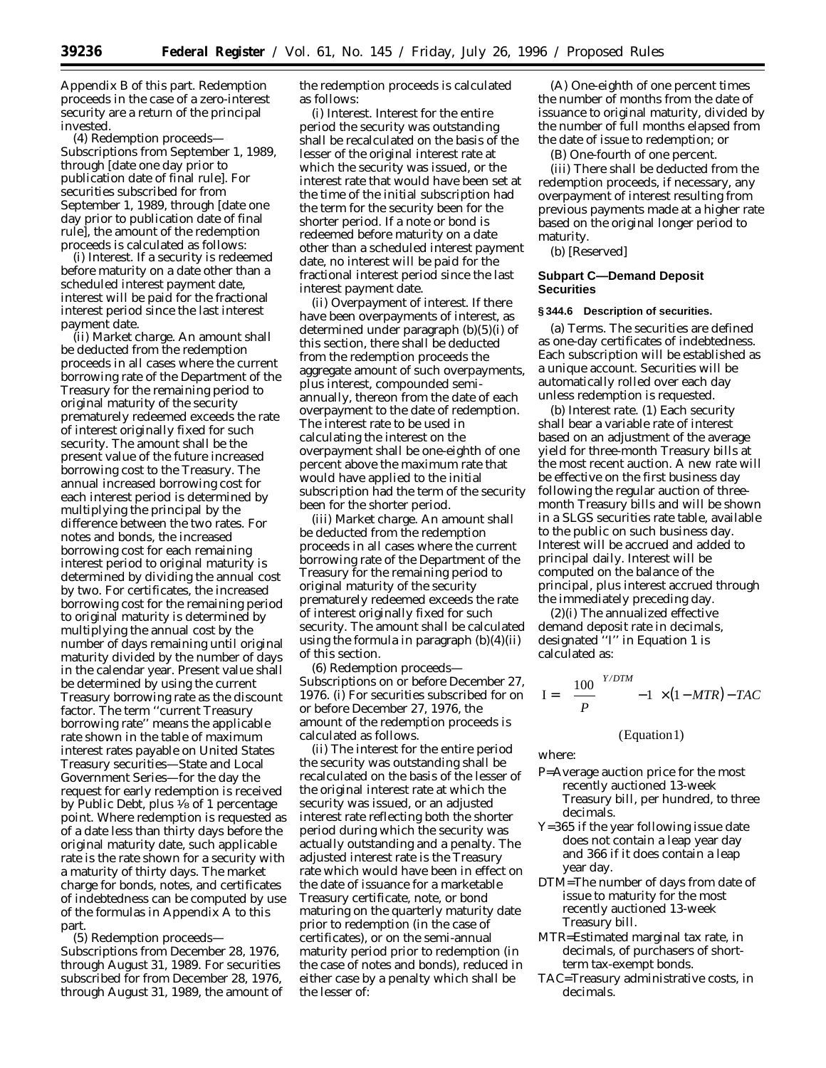Appendix B of this part. Redemption proceeds in the case of a zero-interest security are a return of the principal invested.

(4) *Redemption proceeds— Subscriptions from September 1, 1989, through* [date one day prior to publication date of final rule]. For securities subscribed for from September 1, 1989, through [date one day prior to publication date of final rule], the amount of the redemption proceeds is calculated as follows:

(i) *Interest.* If a security is redeemed before maturity on a date other than a scheduled interest payment date, interest will be paid for the fractional interest period since the last interest payment date.

(ii) *Market charge.* An amount shall be deducted from the redemption proceeds in all cases where the current borrowing rate of the Department of the Treasury for the remaining period to original maturity of the security prematurely redeemed exceeds the rate of interest originally fixed for such security. The amount shall be the present value of the future increased borrowing cost to the Treasury. The annual increased borrowing cost for each interest period is determined by multiplying the principal by the difference between the two rates. For notes and bonds, the increased borrowing cost for each remaining interest period to original maturity is determined by dividing the annual cost by two. For certificates, the increased borrowing cost for the remaining period to original maturity is determined by multiplying the annual cost by the number of days remaining until original maturity divided by the number of days in the calendar year. Present value shall be determined by using the current Treasury borrowing rate as the discount factor. The term ''current Treasury borrowing rate'' means the applicable rate shown in the table of maximum interest rates payable on United States Treasury securities—State and Local Government Series—for the day the request for early redemption is received by Public Debt, plus 1⁄8 of 1 percentage point. Where redemption is requested as of a date less than thirty days before the original maturity date, such applicable rate is the rate shown for a security with a maturity of thirty days. The market charge for bonds, notes, and certificates of indebtedness can be computed by use of the formulas in Appendix A to this part.

(5) *Redemption proceeds— Subscriptions from December 28, 1976, through August 31, 1989.* For securities subscribed for from December 28, 1976, through August 31, 1989, the amount of the redemption proceeds is calculated as follows:

(i) *Interest.* Interest for the entire period the security was outstanding shall be recalculated on the basis of the lesser of the original interest rate at which the security was issued, or the interest rate that would have been set at the time of the initial subscription had the term for the security been for the shorter period. If a note or bond is redeemed before maturity on a date other than a scheduled interest payment date, no interest will be paid for the fractional interest period since the last interest payment date.

(ii) *Overpayment of interest.* If there have been overpayments of interest, as determined under paragraph (b)(5)(i) of this section, there shall be deducted from the redemption proceeds the aggregate amount of such overpayments, plus interest, compounded semiannually, thereon from the date of each overpayment to the date of redemption. The interest rate to be used in calculating the interest on the overpayment shall be one-eighth of one percent above the maximum rate that would have applied to the initial subscription had the term of the security been for the shorter period.

(iii) *Market charge.* An amount shall be deducted from the redemption proceeds in all cases where the current borrowing rate of the Department of the Treasury for the remaining period to original maturity of the security prematurely redeemed exceeds the rate of interest originally fixed for such security. The amount shall be calculated using the formula in paragraph (b)(4)(ii) of this section.

(6) *Redemption proceeds— Subscriptions on or before December 27, 1976.* (i) For securities subscribed for on or before December 27, 1976, the amount of the redemption proceeds is calculated as follows.

(ii) The interest for the entire period the security was outstanding shall be recalculated on the basis of the lesser of the original interest rate at which the security was issued, or an adjusted interest rate reflecting both the shorter period during which the security was actually outstanding and a penalty. The adjusted interest rate is the Treasury rate which would have been in effect on the date of issuance for a marketable Treasury certificate, note, or bond maturing on the quarterly maturity date prior to redemption (in the case of certificates), or on the semi-annual maturity period prior to redemption (in the case of notes and bonds), reduced in either case by a penalty which shall be the lesser of:

(A) One-eighth of one percent times the number of months from the date of issuance to original maturity, divided by the number of full months elapsed from the date of issue to redemption; or

(B) One-fourth of one percent.

(iii) There shall be deducted from the redemption proceeds, if necessary, any overpayment of interest resulting from previous payments made at a higher rate based on the original longer period to maturity.

(b) [Reserved]

### **Subpart C—Demand Deposit Securities**

#### **§ 344.6 Description of securities.**

(a) *Terms.* The securities are defined as one-day certificates of indebtedness. Each subscription will be established as a unique account. Securities will be automatically rolled over each day unless redemption is requested.

(b) *Interest rate.* (1) Each security shall bear a variable rate of interest based on an adjustment of the average yield for three-month Treasury bills at the most recent auction. A new rate will be effective on the first business day following the regular auction of threemonth Treasury bills and will be shown in a SLGS securities rate table, available to the public on such business day. Interest will be accrued and added to principal daily. Interest will be computed on the balance of the principal, plus interest accrued through the immediately preceding day.

(2)(i) The annualized effective demand deposit rate in decimals, designated ''I'' in Equation 1 is calculated as:

$$
I = \left[ \left( \frac{100}{P} \right)^{Y/DTM} - 1 \right] \times (1 - MTR) - TAC
$$

(Equation 1)

where:

- P=Average auction price for the most recently auctioned 13-week Treasury bill, per hundred, to three decimals.
- Y=365 if the year following issue date does not contain a leap year day and 366 if it does contain a leap year day.
- DTM=The number of days from date of issue to maturity for the most recently auctioned 13-week Treasury bill.
- MTR=Estimated marginal tax rate, in decimals, of purchasers of shortterm tax-exempt bonds.
- TAC=Treasury administrative costs, in decimals.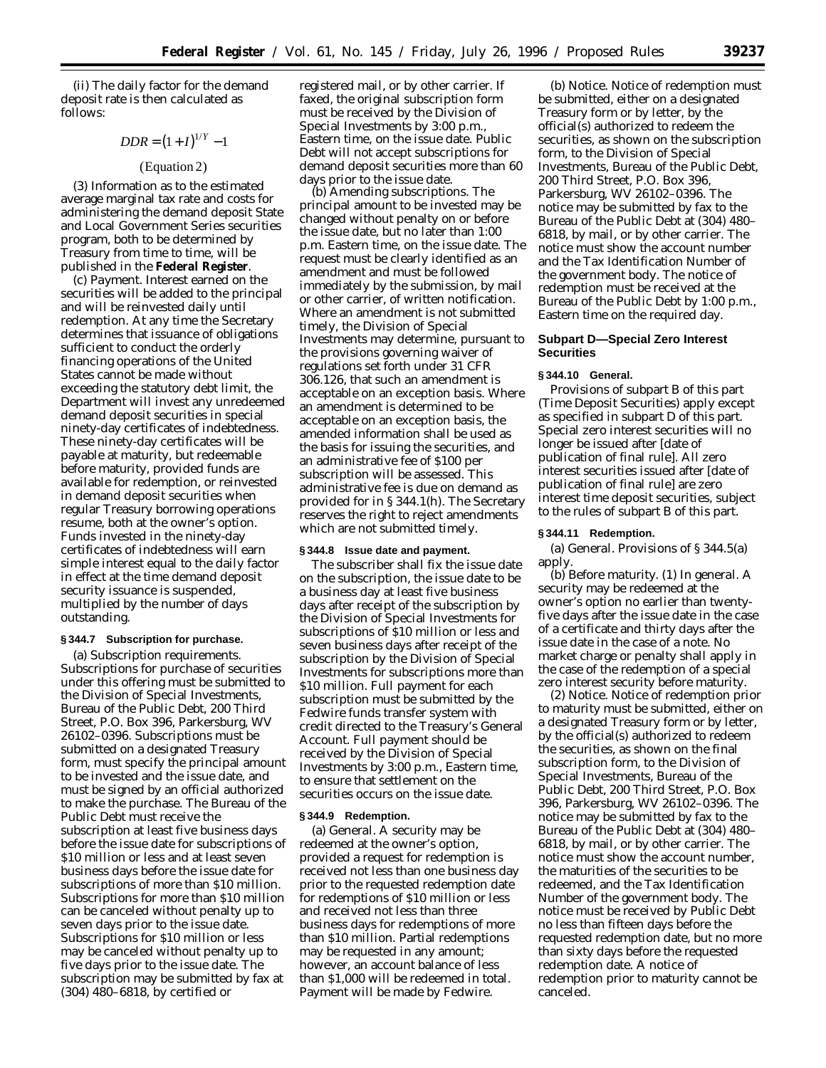(ii) The daily factor for the demand deposit rate is then calculated as follows:

$$
DDR = (1 + I)^{1/Y} - 1
$$

# (Equation 2)

(3) Information as to the estimated average marginal tax rate and costs for administering the demand deposit State and Local Government Series securities program, both to be determined by Treasury from time to time, will be published in the **Federal Register**.

(c) *Payment.* Interest earned on the securities will be added to the principal and will be reinvested daily until redemption. At any time the Secretary determines that issuance of obligations sufficient to conduct the orderly financing operations of the United States cannot be made without exceeding the statutory debt limit, the Department will invest any unredeemed demand deposit securities in special ninety-day certificates of indebtedness. These ninety-day certificates will be payable at maturity, but redeemable before maturity, provided funds are available for redemption, or reinvested in demand deposit securities when regular Treasury borrowing operations resume, both at the owner's option. Funds invested in the ninety-day certificates of indebtedness will earn simple interest equal to the daily factor in effect at the time demand deposit security issuance is suspended, multiplied by the number of days outstanding.

#### **§ 344.7 Subscription for purchase.**

(a) *Subscription requirements.* Subscriptions for purchase of securities under this offering must be submitted to the Division of Special Investments, Bureau of the Public Debt, 200 Third Street, P.O. Box 396, Parkersburg, WV 26102–0396. Subscriptions must be submitted on a designated Treasury form, must specify the principal amount to be invested and the issue date, and must be signed by an official authorized to make the purchase. The Bureau of the Public Debt must receive the subscription at least five business days before the issue date for subscriptions of \$10 million or less and at least seven business days before the issue date for subscriptions of more than \$10 million. Subscriptions for more than \$10 million can be canceled without penalty up to seven days prior to the issue date. Subscriptions for \$10 million or less may be canceled without penalty up to five days prior to the issue date. The subscription may be submitted by fax at (304) 480–6818, by certified or

registered mail, or by other carrier. If faxed, the original subscription form must be received by the Division of Special Investments by 3:00 p.m., Eastern time, on the issue date. Public Debt will not accept subscriptions for demand deposit securities more than 60 days prior to the issue date.

(b) *Amending subscriptions.* The principal amount to be invested may be changed without penalty on or before the issue date, but no later than 1:00 p.m. Eastern time, on the issue date. The request must be clearly identified as an amendment and must be followed immediately by the submission, by mail or other carrier, of written notification. Where an amendment is not submitted timely, the Division of Special Investments may determine, pursuant to the provisions governing waiver of regulations set forth under 31 CFR 306.126, that such an amendment is acceptable on an exception basis. Where an amendment is determined to be acceptable on an exception basis, the amended information shall be used as the basis for issuing the securities, and an administrative fee of \$100 per subscription will be assessed. This administrative fee is due on demand as provided for in § 344.1(h). The Secretary reserves the right to reject amendments which are not submitted timely.

#### **§ 344.8 Issue date and payment.**

The subscriber shall fix the issue date on the subscription, the issue date to be a business day at least five business days after receipt of the subscription by the Division of Special Investments for subscriptions of \$10 million or less and seven business days after receipt of the subscription by the Division of Special Investments for subscriptions more than \$10 million. Full payment for each subscription must be submitted by the Fedwire funds transfer system with credit directed to the Treasury's General Account. Full payment should be received by the Division of Special Investments by 3:00 p.m., Eastern time, to ensure that settlement on the securities occurs on the issue date.

### **§ 344.9 Redemption.**

(a) *General.* A security may be redeemed at the owner's option, provided a request for redemption is received not less than one business day prior to the requested redemption date for redemptions of \$10 million or less and received not less than three business days for redemptions of more than \$10 million. Partial redemptions may be requested in any amount; however, an account balance of less than \$1,000 will be redeemed in total. Payment will be made by Fedwire.

(b) *Notice.* Notice of redemption must be submitted, either on a designated Treasury form or by letter, by the official(s) authorized to redeem the securities, as shown on the subscription form, to the Division of Special Investments, Bureau of the Public Debt, 200 Third Street, P.O. Box 396, Parkersburg, WV 26102–0396. The notice may be submitted by fax to the Bureau of the Public Debt at (304) 480– 6818, by mail, or by other carrier. The notice must show the account number and the Tax Identification Number of the government body. The notice of redemption must be received at the Bureau of the Public Debt by 1:00 p.m., Eastern time on the required day.

### **Subpart D—Special Zero Interest Securities**

# **§ 344.10 General.**

Provisions of subpart B of this part (Time Deposit Securities) apply except as specified in subpart D of this part. Special zero interest securities will no longer be issued after [date of publication of final rule]. All zero interest securities issued after [date of publication of final rule] are zero interest time deposit securities, subject to the rules of subpart B of this part.

### **§ 344.11 Redemption.**

(a) *General.* Provisions of § 344.5(a) apply.

(b) *Before maturity.* (1) *In general.* A security may be redeemed at the owner's option no earlier than twentyfive days after the issue date in the case of a certificate and thirty days after the issue date in the case of a note. No market charge or penalty shall apply in the case of the redemption of a special zero interest security before maturity.

(2) *Notice.* Notice of redemption prior to maturity must be submitted, either on a designated Treasury form or by letter, by the official(s) authorized to redeem the securities, as shown on the final subscription form, to the Division of Special Investments, Bureau of the Public Debt, 200 Third Street, P.O. Box 396, Parkersburg, WV 26102–0396. The notice may be submitted by fax to the Bureau of the Public Debt at (304) 480– 6818, by mail, or by other carrier. The notice must show the account number, the maturities of the securities to be redeemed, and the Tax Identification Number of the government body. The notice must be received by Public Debt no less than fifteen days before the requested redemption date, but no more than sixty days before the requested redemption date. A notice of redemption prior to maturity cannot be canceled.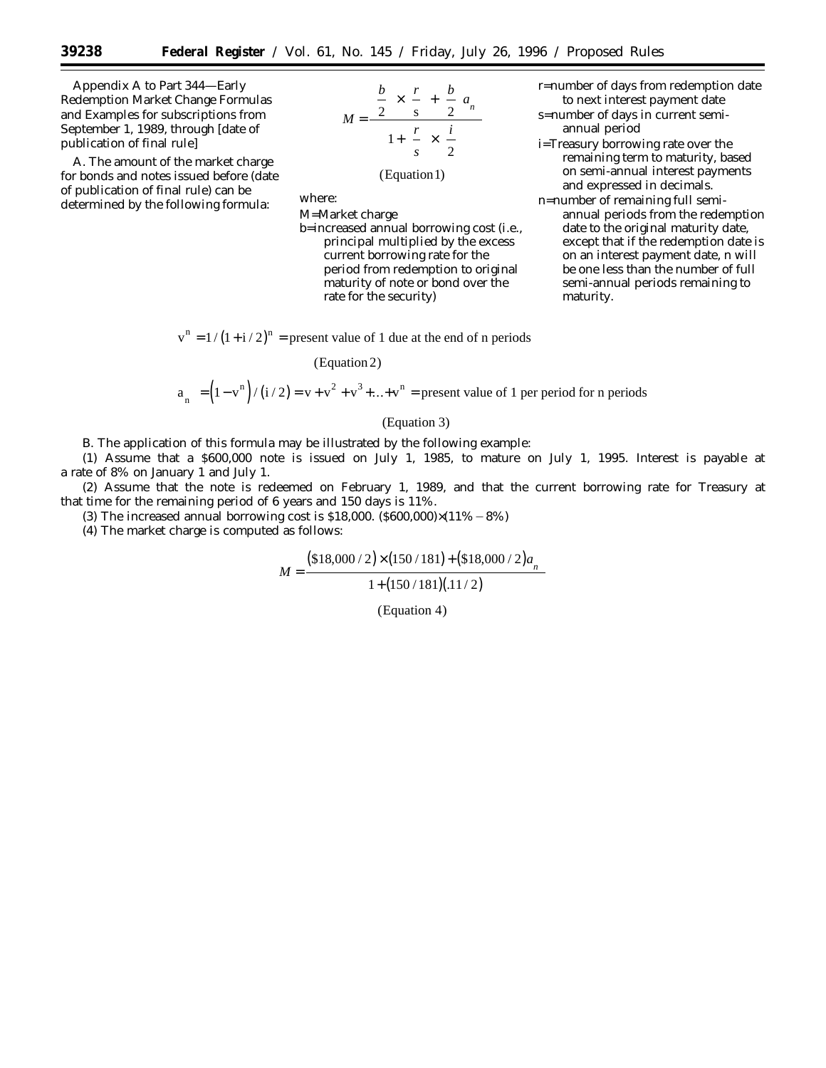Appendix A to Part 344—Early Redemption Market Change Formulas and Examples for subscriptions from September 1, 1989, through [date of publication of final rule]

A. The amount of the market charge for bonds and notes issued before (date of publication of final rule) can be determined by the following formula:



# (Equation1)

where:

M=Market charge b=increased annual borrowing cost (i.e., principal multiplied by the excess current borrowing rate for the period from redemption to original maturity of note or bond over the rate for the security)

 $v^{n} = 1/(1+i/2)^{n}$  = present value of 1 due at the end of n periods

(Equation 2)

$$
a_{n\bar{1}} = (1 - v^n) / (i/2) = v + v^2 + v^3 + ... + v^n
$$
 = present value of 1 per period for n periods

# (Equation 3)

B. The application of this formula may be illustrated by the following example:

(1) Assume that a \$600,000 note is issued on July 1, 1985, to mature on July 1, 1995. Interest is payable at a rate of 8% on January 1 and July 1.

(2) Assume that the note is redeemed on February 1, 1989, and that the current borrowing rate for Treasury at that time for the remaining period of 6 years and 150 days is 11%.

(3) The increased annual borrowing cost is \$18,000. (\$600,000) $\times$ (11% – 8%)

*M*

(4) The market charge is computed as follows:

$$
M = \frac{(\$18,000/2) \times (150/181) + (\$18,000/2) a_{n}]}{1 + (150/181)(.11/2)}
$$

(Equation 4)

- r=number of days from redemption date to next interest payment date
- s=number of days in current semiannual period
- i=Treasury borrowing rate over the remaining term to maturity, based on semi-annual interest payments and expressed in decimals.
- n=number of remaining full semiannual periods from the redemption date to the original maturity date, except that if the redemption date is on an interest payment date, n will be one less than the number of full semi-annual periods remaining to maturity.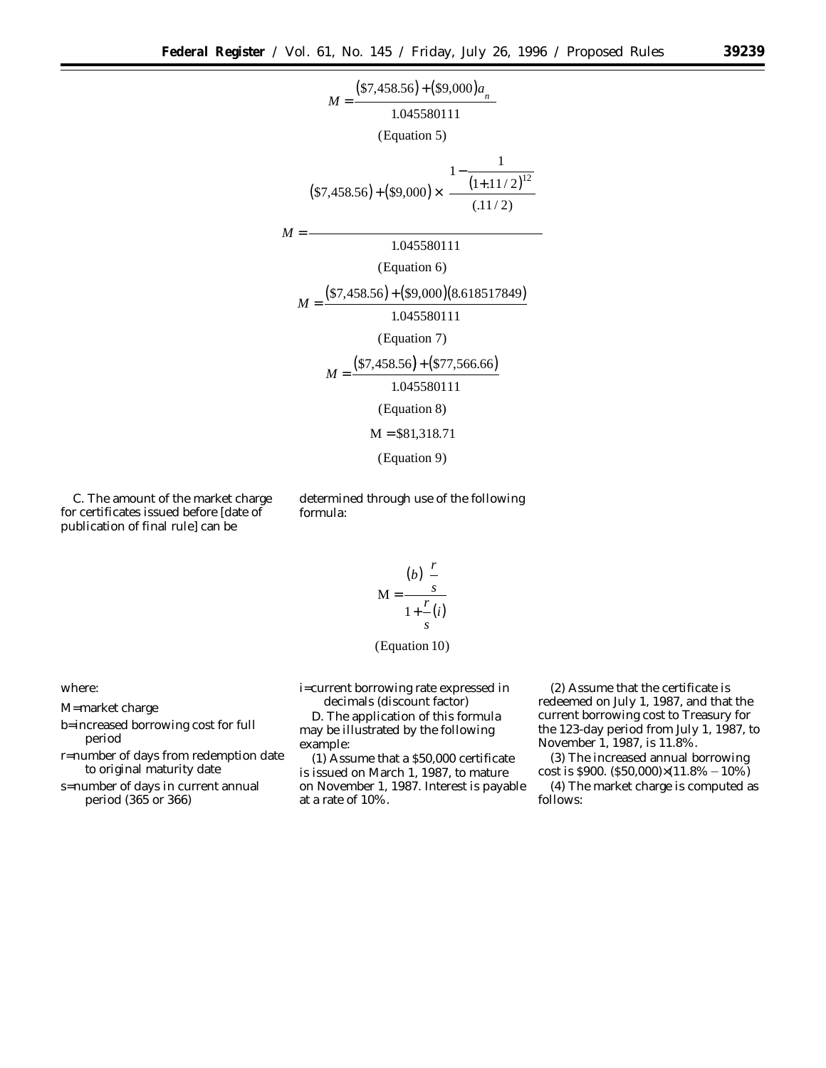

C. The amount of the market charge for certificates issued before [date of publication of final rule] can be

determined through use of the following formula:

$$
M = \frac{(b)\left(\frac{r}{s}\right)}{1 + \frac{r}{s}(i)}
$$

(Equation 10)

where:

M=market charge

- b=increased borrowing cost for full period
- r=number of days from redemption date to original maturity date

s=number of days in current annual period (365 or 366)

i=current borrowing rate expressed in decimals (discount factor)

D. The application of this formula may be illustrated by the following example:

(1) Assume that a \$50,000 certificate is issued on March 1, 1987, to mature on November 1, 1987. Interest is payable at a rate of 10%.

(2) Assume that the certificate is redeemed on July 1, 1987, and that the current borrowing cost to Treasury for the 123-day period from July 1, 1987, to November 1, 1987, is 11.8%.

(3) The increased annual borrowing cost is \$900. (\$50,000) $\times$ (11.8% – 10%)

(4) The market charge is computed as follows: